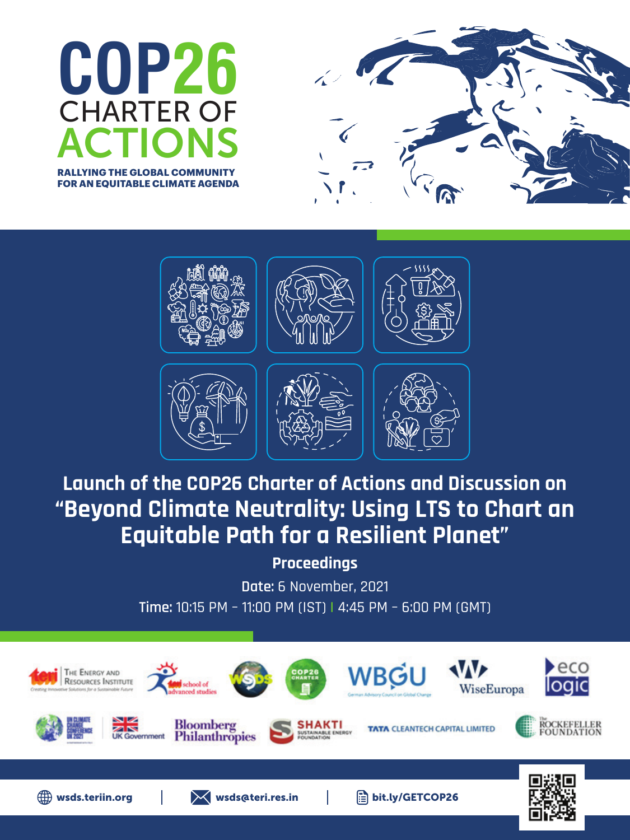





## **Launch of the COP26 Charter of Actions and Discussion on "Beyond Climate Neutrality: Using LTS to Chart an Equitable Path for a Resilient Planet"**

**Proceedings**

**Date:** 6 November, 2021 **Time:** 10:15 PM – 11:00 PM (IST) **|** 4:45 PM – 6:00 PM (GMT)

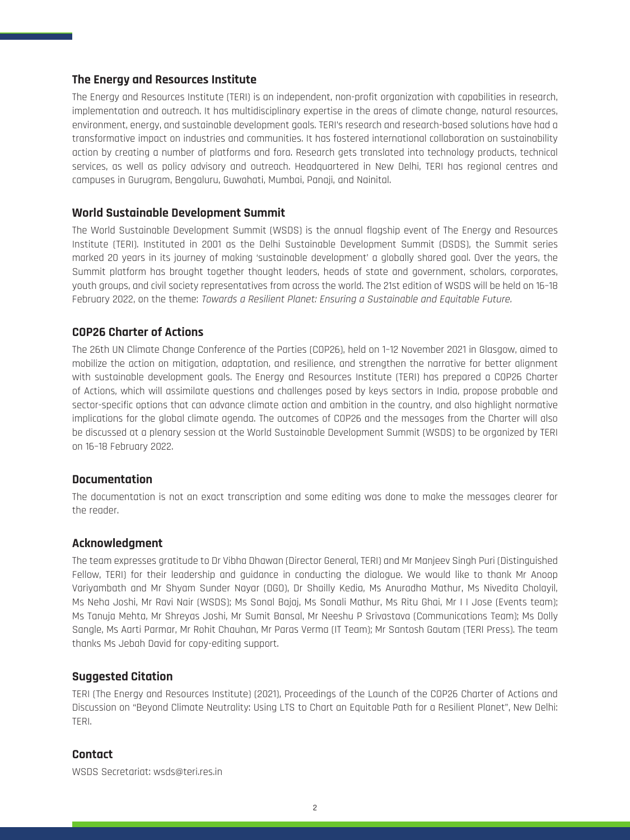#### **The Energy and Resources Institute**

The Energy and Resources Institute (TERI) is an independent, non-profit organization with capabilities in research, implementation and outreach. It has multidisciplinary expertise in the areas of climate change, natural resources, environment, energy, and sustainable development goals. TERI's research and research-based solutions have had a transformative impact on industries and communities. It has fostered international collaboration on sustainability action by creating a number of platforms and fora. Research gets translated into technology products, technical services, as well as policy advisory and outreach. Headquartered in New Delhi, TERI has regional centres and campuses in Gurugram, Bengaluru, Guwahati, Mumbai, Panaji, and Nainital.

#### **World Sustainable Development Summit**

The World Sustainable Development Summit (WSDS) is the annual flagship event of The Energy and Resources Institute (TERI). Instituted in 2001 as the Delhi Sustainable Development Summit (DSDS), the Summit series marked 20 years in its journey of making 'sustainable development' a globally shared goal. Over the years, the Summit platform has brought together thought leaders, heads of state and government, scholars, corporates, youth groups, and civil society representatives from across the world. The 21st edition of WSDS will be held on 16–18 February 2022, on the theme: Towards a Resilient Planet: Ensuring a Sustainable and Equitable Future.

#### **COP26 Charter of Actions**

The 26th UN Climate Change Conference of the Parties (COP26), held on 1–12 November 2021 in Glasgow, aimed to mobilize the action on mitigation, adaptation, and resilience, and strengthen the narrative for better alignment with sustainable development goals. The Energy and Resources Institute (TERI) has prepared a COP26 Charter of Actions, which will assimilate questions and challenges posed by keys sectors in India, propose probable and sector-specific options that can advance climate action and ambition in the country, and also highlight normative implications for the global climate agenda. The outcomes of COP26 and the messages from the Charter will also be discussed at a plenary session at the World Sustainable Development Summit (WSDS) to be organized by TERI on 16–18 February 2022.

#### **Documentation**

The documentation is not an exact transcription and some editing was done to make the messages clearer for the reader.

#### **Acknowledgment**

The team expresses gratitude to Dr Vibha Dhawan (Director General, TERI) and Mr Manjeev Singh Puri (Distinguished Fellow, TERI) for their leadership and guidance in conducting the dialogue. We would like to thank Mr Anoop Variyambath and Mr Shyam Sunder Nayar (DGO), Dr Shailly Kedia, Ms Anuradha Mathur, Ms Nivedita Cholayil, Ms Neha Joshi, Mr Ravi Nair (WSDS); Ms Sonal Bajaj, Ms Sonali Mathur, Ms Ritu Ghai, Mr I I Jose (Events team); Ms Tanuja Mehta, Mr Shreyas Joshi, Mr Sumit Bansal, Mr Neeshu P Srivastava (Communications Team); Ms Dolly Sangle, Ms Aarti Parmar, Mr Rohit Chauhan, Mr Paras Verma (IT Team); Mr Santosh Gautam (TERI Press). The team thanks Ms Jebah David for copy-editing support.

#### **Suggested Citation**

TERI (The Energy and Resources Institute) (2021), Proceedings of the Launch of the COP26 Charter of Actions and Discussion on "Beyond Climate Neutrality: Using LTS to Chart an Equitable Path for a Resilient Planet", New Delhi: TERI.

#### **Contact**

WSDS Secretariat: wsds@teri.res.in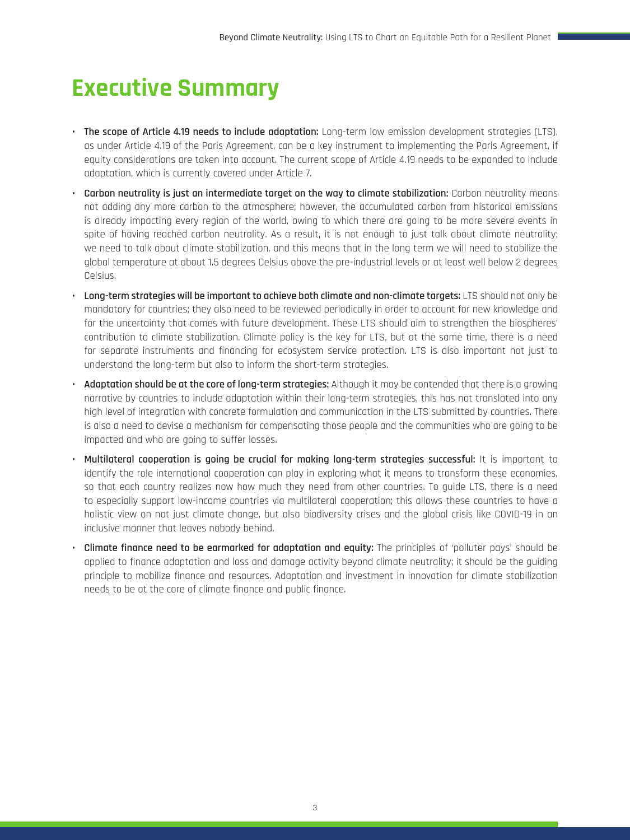# **Executive Summary**

- **• The scope of Article 4.19 needs to include adaptation:** Long-term low emission development strategies (LTS), as under Article 4.19 of the Paris Agreement, can be a key instrument to implementing the Paris Agreement, if equity considerations are taken into account. The current scope of Article 4.19 needs to be expanded to include adaptation, which is currently covered under Article 7.
- **• Carbon neutrality is just an intermediate target on the way to climate stabilization:** Carbon neutrality means not adding any more carbon to the atmosphere; however, the accumulated carbon from historical emissions is already impacting every region of the world, owing to which there are going to be more severe events in spite of having reached carbon neutrality. As a result, it is not enough to just talk about climate neutrality; we need to talk about climate stabilization, and this means that in the long term we will need to stabilize the global temperature at about 1.5 degrees Celsius above the pre-industrial levels or at least well below 2 degrees Celsius.
- **• Long-term strategies will be important to achieve both climate and non-climate targets:** LTS should not only be mandatory for countries; they also need to be reviewed periodically in order to account for new knowledge and for the uncertainty that comes with future development. These LTS should aim to strengthen the biospheres' contribution to climate stabilization. Climate policy is the key for LTS, but at the same time, there is a need for separate instruments and financing for ecosystem service protection. LTS is also important not just to understand the long-term but also to inform the short-term strategies.
- **• Adaptation should be at the core of long-term strategies:** Although it may be contended that there is a growing narrative by countries to include adaptation within their long-term strategies, this has not translated into any high level of integration with concrete formulation and communication in the LTS submitted by countries. There is also a need to devise a mechanism for compensating those people and the communities who are going to be impacted and who are going to suffer losses.
- **• Multilateral cooperation is going be crucial for making long-term strategies successful:** It is important to identify the role international cooperation can play in exploring what it means to transform these economies, so that each country realizes now how much they need from other countries. To guide LTS, there is a need to especially support low-income countries via multilateral cooperation; this allows these countries to have a holistic view on not just climate change, but also biodiversity crises and the global crisis like COVID-19 in an inclusive manner that leaves nobody behind.
- **• Climate finance need to be earmarked for adaptation and equity:** The principles of 'polluter pays' should be applied to finance adaptation and loss and damage activity beyond climate neutrality; it should be the guiding principle to mobilize finance and resources. Adaptation and investment in innovation for climate stabilization needs to be at the core of climate finance and public finance.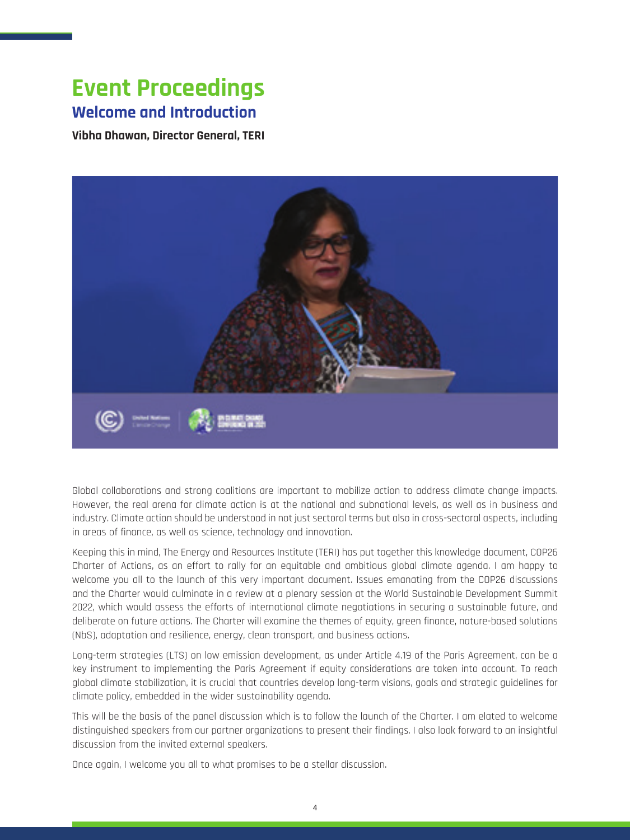## **Event Proceedings Welcome and Introduction**

**Vibha Dhawan, Director General, TERI**



Global collaborations and strong coalitions are important to mobilize action to address climate change impacts. However, the real arena for climate action is at the national and subnational levels, as well as in business and industry. Climate action should be understood in not just sectoral terms but also in cross-sectoral aspects, including in areas of finance, as well as science, technology and innovation.

Keeping this in mind, The Energy and Resources Institute (TERI) has put together this knowledge document, COP26 Charter of Actions, as an effort to rally for an equitable and ambitious global climate agenda. I am happy to welcome you all to the launch of this very important document. Issues emanating from the COP26 discussions and the Charter would culminate in a review at a plenary session at the World Sustainable Development Summit 2022, which would assess the efforts of international climate negotiations in securing a sustainable future, and deliberate on future actions. The Charter will examine the themes of equity, green finance, nature-based solutions (NbS), adaptation and resilience, energy, clean transport, and business actions.

Long-term strategies (LTS) on low emission development, as under Article 4.19 of the Paris Agreement, can be a key instrument to implementing the Paris Agreement if equity considerations are taken into account. To reach global climate stabilization, it is crucial that countries develop long-term visions, goals and strategic guidelines for climate policy, embedded in the wider sustainability agenda.

This will be the basis of the panel discussion which is to follow the launch of the Charter. I am elated to welcome distinguished speakers from our partner organizations to present their findings. I also look forward to an insightful discussion from the invited external speakers.

Once again, I welcome you all to what promises to be a stellar discussion.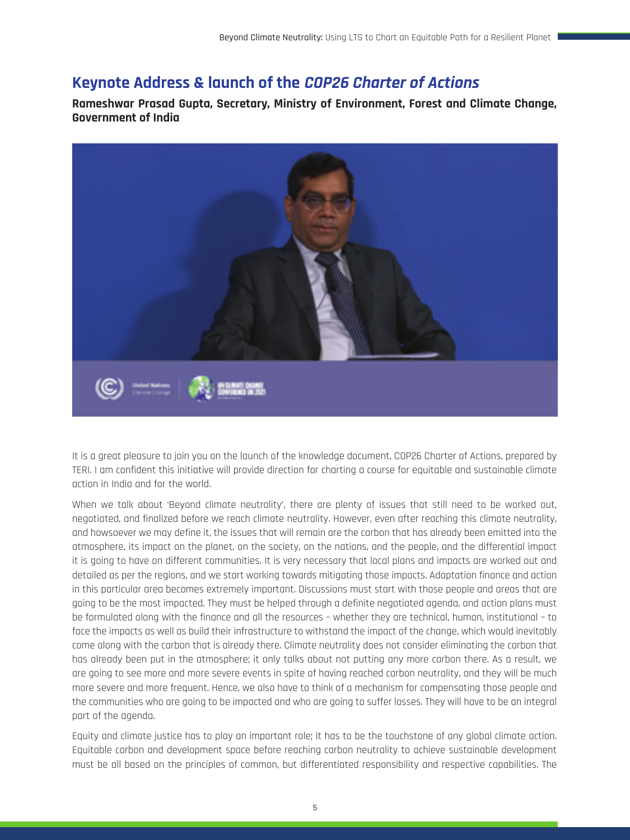## **Keynote Address & launch of the COP26 Charter of Actions**

**Rameshwar Prasad Gupta, Secretary, Ministry of Environment, Forest and Climate Change, Government of India**



It is a great pleasure to join you on the launch of the knowledge document, COP26 Charter of Actions, prepared by TERI. I am confident this initiative will provide direction for charting a course for equitable and sustainable climate action in India and for the world.

When we talk about 'Beyond climate neutrality', there are plenty of issues that still need to be worked out, negotiated, and finalized before we reach climate neutrality. However, even after reaching this climate neutrality, and howsoever we may define it, the issues that will remain are the carbon that has already been emitted into the atmosphere, its impact on the planet, on the society, on the nations, and the people, and the differential impact it is going to have on different communities. It is very necessary that local plans and impacts are worked out and detailed as per the regions, and we start working towards mitigating those impacts. Adaptation finance and action in this particular area becomes extremely important. Discussions must start with those people and areas that are going to be the most impacted. They must be helped through a definite negotiated agenda, and action plans must be formulated along with the finance and all the resources – whether they are technical, human, institutional – to face the impacts as well as build their infrastructure to withstand the impact of the change, which would inevitably come along with the carbon that is already there. Climate neutrality does not consider eliminating the carbon that has already been put in the atmosphere; it only talks about not putting any more carbon there. As a result, we are going to see more and more severe events in spite of having reached carbon neutrality, and they will be much more severe and more frequent. Hence, we also have to think of a mechanism for compensating those people and the communities who are going to be impacted and who are going to suffer losses. They will have to be an integral part of the agenda.

Equity and climate justice has to play an important role; it has to be the touchstone of any global climate action. Equitable carbon and development space before reaching carbon neutrality to achieve sustainable development must be all based on the principles of common, but differentiated responsibility and respective capabilities. The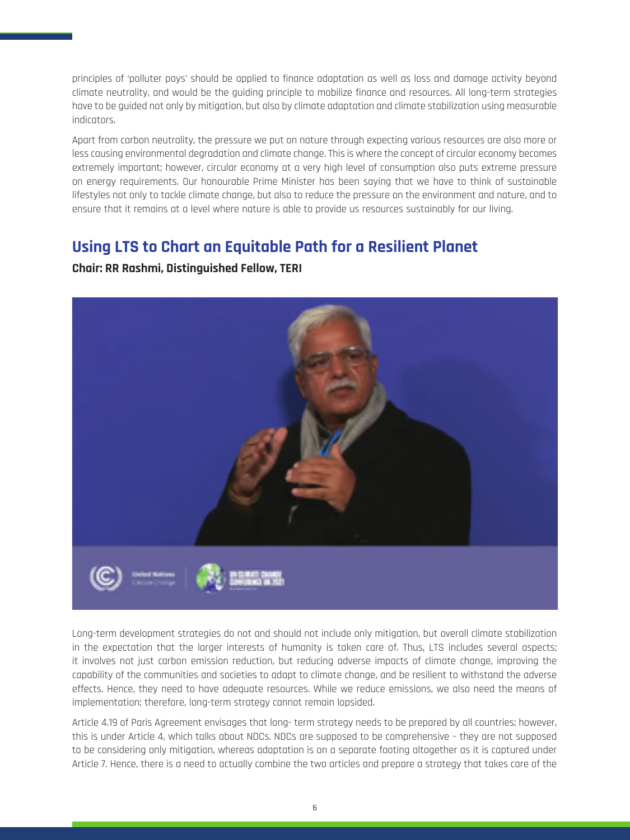principles of 'polluter pays' should be applied to finance adaptation as well as loss and damage activity beyond climate neutrality, and would be the guiding principle to mobilize finance and resources. All long-term strategies have to be guided not only by mitigation, but also by climate adaptation and climate stabilization using measurable indicators.

Apart from carbon neutrality, the pressure we put on nature through expecting various resources are also more or less causing environmental degradation and climate change. This is where the concept of circular economy becomes extremely important; however, circular economy at a very high level of consumption also puts extreme pressure on energy requirements. Our honourable Prime Minister has been saying that we have to think of sustainable lifestyles not only to tackle climate change, but also to reduce the pressure on the environment and nature, and to ensure that it remains at a level where nature is able to provide us resources sustainably for our living.

## **Using LTS to Chart an Equitable Path for a Resilient Planet**

#### **Chair: RR Rashmi, Distinguished Fellow, TERI**



Long-term development strategies do not and should not include only mitigation, but overall climate stabilization in the expectation that the larger interests of humanity is taken care of. Thus, LTS includes several aspects; it involves not just carbon emission reduction, but reducing adverse impacts of climate change, improving the capability of the communities and societies to adapt to climate change, and be resilient to withstand the adverse effects. Hence, they need to have adequate resources. While we reduce emissions, we also need the means of implementation; therefore, long-term strategy cannot remain lopsided.

Article 4.19 of Paris Agreement envisages that long- term strategy needs to be prepared by all countries; however, this is under Article 4, which talks about NDCs. NDCs are supposed to be comprehensive – they are not supposed to be considering only mitigation, whereas adaptation is on a separate footing altogether as it is captured under Article 7. Hence, there is a need to actually combine the two articles and prepare a strategy that takes care of the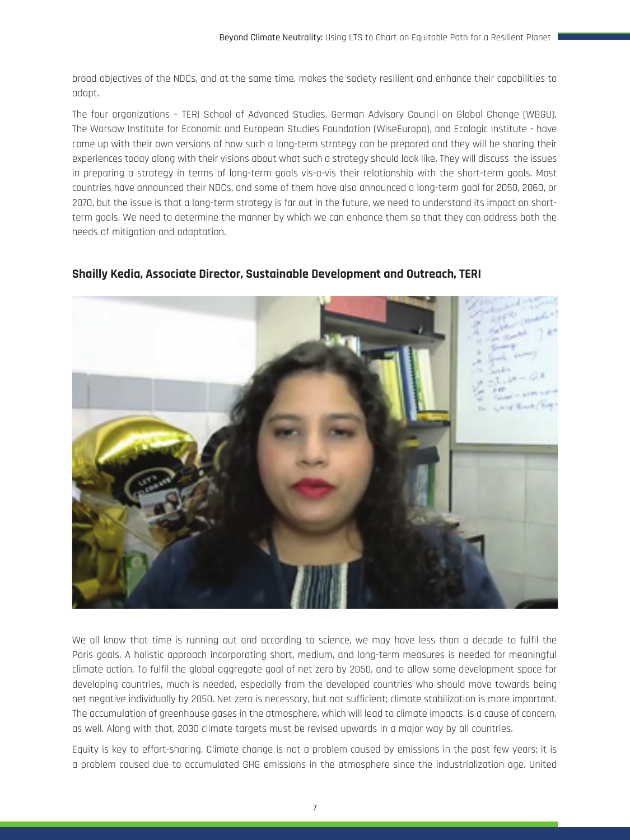broad objectives of the NDCs, and at the same time, makes the society resilient and enhance their capabilities to adapt.

The four organizations – TERI School of Advanced Studies, German Advisory Council on Global Change (WBGU), The Warsaw Institute for Economic and European Studies Foundation (WiseEuropa), and Ecologic Institute - have come up with their own versions of how such a long-term strategy can be prepared and they will be sharing their experiences today along with their visions about what such a strategy should look like. They will discuss the issues in preparing a strategy in terms of long-term goals vis-a-vis their relationship with the short-term goals. Most countries have announced their NDCs, and some of them have also announced a long-term goal for 2050, 2060, or 2070, but the issue is that a long-term strategy is far out in the future, we need to understand its impact on shortterm goals. We need to determine the manner by which we can enhance them so that they can address both the needs of mitigation and adaptation.

#### **Shailly Kedia, Associate Director, Sustainable Development and Outreach, TERI**



We all know that time is running out and according to science, we may have less than a decade to fulfil the Paris goals. A holistic approach incorporating short, medium, and long-term measures is needed for meaningful climate action. To fulfil the global aggregate goal of net zero by 2050, and to allow some development space for developing countries, much is needed, especially from the developed countries who should move towards being net negative individually by 2050. Net zero is necessary, but not sufficient; climate stabilization is more important. The accumulation of greenhouse gases in the atmosphere, which will lead to climate impacts, is a cause of concern, as well. Along with that, 2030 climate targets must be revised upwards in a major way by all countries.

Equity is key to effort-sharing. Climate change is not a problem caused by emissions in the past few years; it is a problem caused due to accumulated GHG emissions in the atmosphere since the industrialization age. United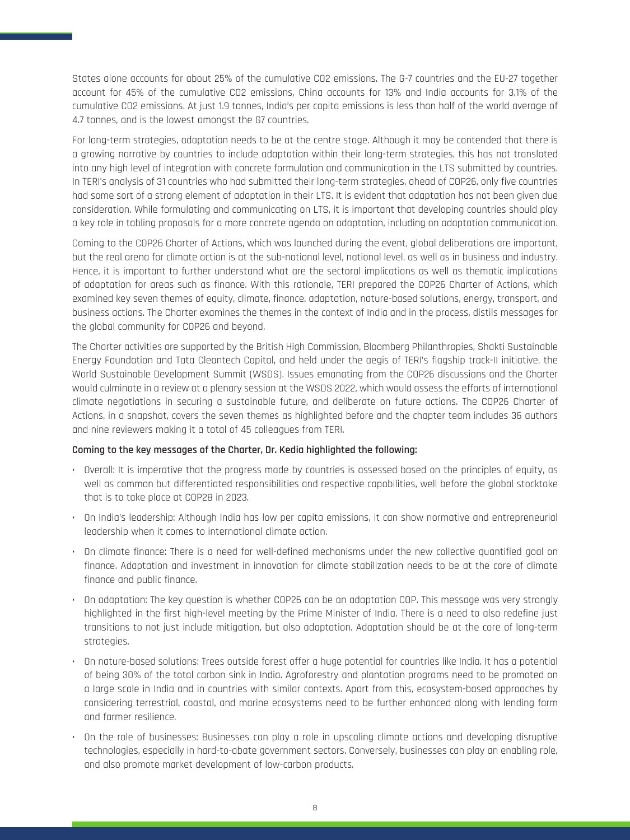States alone accounts for about 25% of the cumulative CO2 emissions. The G-7 countries and the EU-27 together account for 45% of the cumulative CO2 emissions, China accounts for 13% and India accounts for 3.1% of the cumulative CO2 emissions. At just 1.9 tonnes, India's per capita emissions is less than half of the world average of 4.7 tonnes, and is the lowest amongst the G7 countries.

For long-term strategies, adaptation needs to be at the centre stage. Although it may be contended that there is a growing narrative by countries to include adaptation within their long-term strategies, this has not translated into any high level of integration with concrete formulation and communication in the LTS submitted by countries. In TERI's analysis of 31 countries who had submitted their long-term strategies, ahead of COP26, only five countries had some sort of a strong element of adaptation in their LTS. It is evident that adaptation has not been given due consideration. While formulating and communicating on LTS, it is important that developing countries should play a key role in tabling proposals for a more concrete agenda on adaptation, including on adaptation communication.

Coming to the COP26 Charter of Actions, which was launched during the event, global deliberations are important, but the real arena for climate action is at the sub-national level, national level, as well as in business and industry. Hence, it is important to further understand what are the sectoral implications as well as thematic implications of adaptation for areas such as finance. With this rationale, TERI prepared the COP26 Charter of Actions, which examined key seven themes of equity, climate, finance, adaptation, nature-based solutions, energy, transport, and business actions. The Charter examines the themes in the context of India and in the process, distils messages for the global community for COP26 and beyond.

The Charter activities are supported by the British High Commission, Bloomberg Philanthropies, Shakti Sustainable Energy Foundation and Tata Cleantech Capital, and held under the aegis of TERI's flagship track-II initiative, the World Sustainable Development Summit (WSDS). Issues emanating from the COP26 discussions and the Charter would culminate in a review at a plenary session at the WSDS 2022, which would assess the efforts of international climate negotiations in securing a sustainable future, and deliberate on future actions. The COP26 Charter of Actions, in a snapshot, covers the seven themes as highlighted before and the chapter team includes 36 authors and nine reviewers making it a total of 45 colleagues from TERI.

#### **Coming to the key messages of the Charter, Dr. Kedia highlighted the following:**

- Overall: It is imperative that the progress made by countries is assessed based on the principles of equity, as well as common but differentiated responsibilities and respective capabilities, well before the global stocktake that is to take place at COP28 in 2023.
- On India's leadership: Although India has low per capita emissions, it can show normative and entrepreneurial leadership when it comes to international climate action.
- On climate finance: There is a need for well-defined mechanisms under the new collective quantified goal on finance. Adaptation and investment in innovation for climate stabilization needs to be at the core of climate finance and public finance.
- On adaptation: The key question is whether COP26 can be an adaptation COP. This message was very strongly highlighted in the first high-level meeting by the Prime Minister of India. There is a need to also redefine just transitions to not just include mitigation, but also adaptation. Adaptation should be at the core of long-term strategies.
- On nature-based solutions: Trees outside forest offer a huge potential for countries like India. It has a potential of being 30% of the total carbon sink in India. Agroforestry and plantation programs need to be promoted on a large scale in India and in countries with similar contexts. Apart from this, ecosystem-based approaches by considering terrestrial, coastal, and marine ecosystems need to be further enhanced along with lending farm and farmer resilience.
- On the role of businesses: Businesses can play a role in upscaling climate actions and developing disruptive technologies, especially in hard-to-abate government sectors. Conversely, businesses can play an enabling role, and also promote market development of low-carbon products.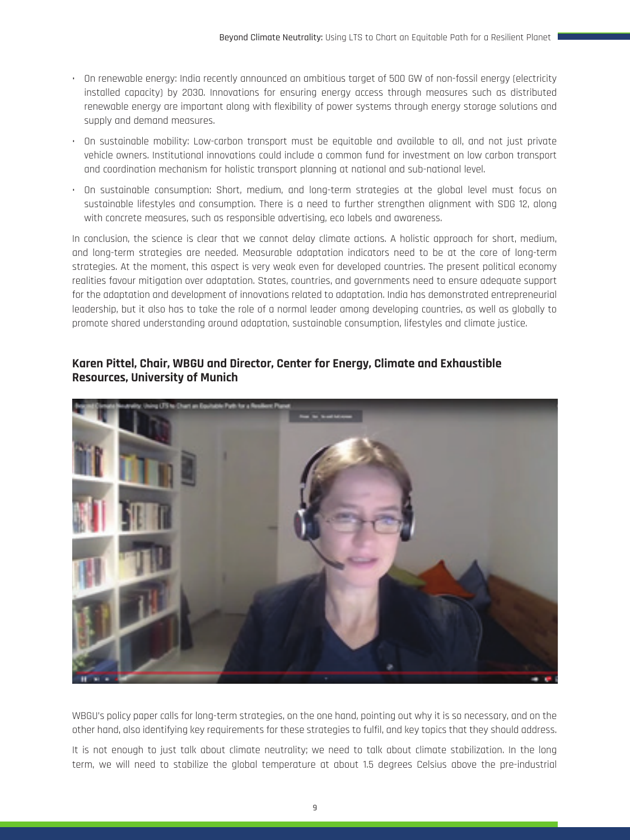- On renewable energy: India recently announced an ambitious target of 500 GW of non-fossil energy (electricity installed capacity) by 2030. Innovations for ensuring energy access through measures such as distributed renewable energy are important along with flexibility of power systems through energy storage solutions and supply and demand measures.
- On sustainable mobility: Low-carbon transport must be equitable and available to all, and not just private vehicle owners. Institutional innovations could include a common fund for investment on low carbon transport and coordination mechanism for holistic transport planning at national and sub-national level.
- On sustainable consumption: Short, medium, and long-term strategies at the global level must focus on sustainable lifestyles and consumption. There is a need to further strengthen alignment with SDG 12, along with concrete measures, such as responsible advertising, eco labels and awareness.

In conclusion, the science is clear that we cannot delay climate actions. A holistic approach for short, medium, and long-term strategies are needed. Measurable adaptation indicators need to be at the core of long-term strategies. At the moment, this aspect is very weak even for developed countries. The present political economy realities favour mitigation over adaptation. States, countries, and governments need to ensure adequate support for the adaptation and development of innovations related to adaptation. India has demonstrated entrepreneurial leadership, but it also has to take the role of a normal leader among developing countries, as well as globally to promote shared understanding around adaptation, sustainable consumption, lifestyles and climate justice.

#### **Karen Pittel, Chair, WBGU and Director, Center for Energy, Climate and Exhaustible Resources, University of Munich**



WBGU's policy paper calls for long-term strategies, on the one hand, pointing out why it is so necessary, and on the other hand, also identifying key requirements for these strategies to fulfil, and key topics that they should address.

It is not enough to just talk about climate neutrality; we need to talk about climate stabilization. In the long term, we will need to stabilize the global temperature at about 1.5 degrees Celsius above the pre-industrial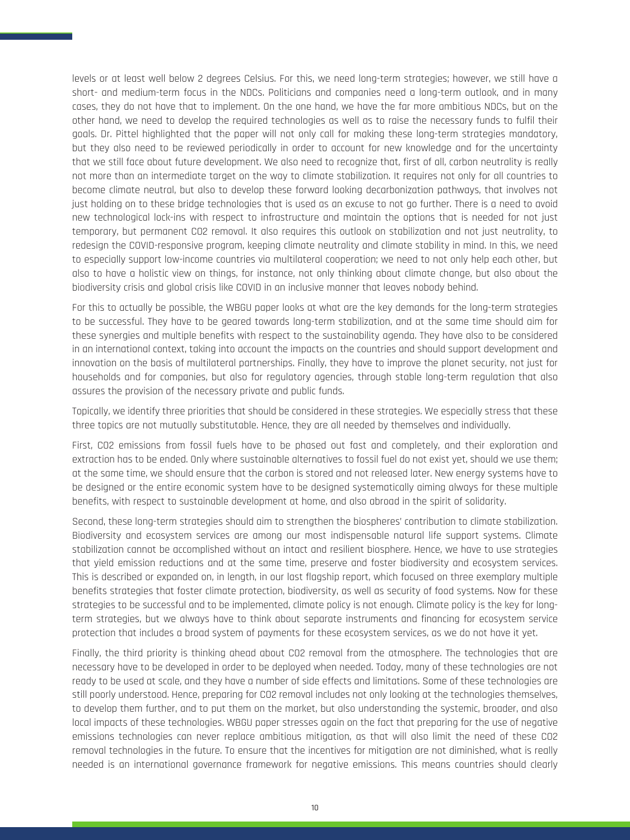levels or at least well below 2 degrees Celsius. For this, we need long-term strategies; however, we still have a short- and medium-term focus in the NDCs. Politicians and companies need a long-term outlook, and in many cases, they do not have that to implement. On the one hand, we have the far more ambitious NDCs, but on the other hand, we need to develop the required technologies as well as to raise the necessary funds to fulfil their goals. Dr. Pittel highlighted that the paper will not only call for making these long-term strategies mandatory, but they also need to be reviewed periodically in order to account for new knowledge and for the uncertainty that we still face about future development. We also need to recognize that, first of all, carbon neutrality is really not more than an intermediate target on the way to climate stabilization. It requires not only for all countries to become climate neutral, but also to develop these forward looking decarbonization pathways, that involves not just holding on to these bridge technologies that is used as an excuse to not go further. There is a need to avoid new technological lock-ins with respect to infrastructure and maintain the options that is needed for not just temporary, but permanent CO2 removal. It also requires this outlook on stabilization and not just neutrality, to redesign the COVID-responsive program, keeping climate neutrality and climate stability in mind. In this, we need to especially support low-income countries via multilateral cooperation; we need to not only help each other, but also to have a holistic view on things, for instance, not only thinking about climate change, but also about the biodiversity crisis and global crisis like COVID in an inclusive manner that leaves nobody behind.

For this to actually be possible, the WBGU paper looks at what are the key demands for the long-term strategies to be successful. They have to be geared towards long-term stabilization, and at the same time should aim for these synergies and multiple benefits with respect to the sustainability agenda. They have also to be considered in an international context, taking into account the impacts on the countries and should support development and innovation on the basis of multilateral partnerships. Finally, they have to improve the planet security, not just for households and for companies, but also for regulatory agencies, through stable long-term regulation that also assures the provision of the necessary private and public funds.

Topically, we identify three priorities that should be considered in these strategies. We especially stress that these three topics are not mutually substitutable. Hence, they are all needed by themselves and individually.

First, CO2 emissions from fossil fuels have to be phased out fast and completely, and their exploration and extraction has to be ended. Only where sustainable alternatives to fossil fuel do not exist yet, should we use them; at the same time, we should ensure that the carbon is stored and not released later. New energy systems have to be designed or the entire economic system have to be designed systematically aiming always for these multiple benefits, with respect to sustainable development at home, and also abroad in the spirit of solidarity.

Second, these long-term strategies should aim to strengthen the biospheres' contribution to climate stabilization. Biodiversity and ecosystem services are among our most indispensable natural life support systems. Climate stabilization cannot be accomplished without an intact and resilient biosphere. Hence, we have to use strategies that yield emission reductions and at the same time, preserve and foster biodiversity and ecosystem services. This is described or expanded on, in length, in our last flagship report, which focused on three exemplary multiple benefits strategies that foster climate protection, biodiversity, as well as security of food systems. Now for these strategies to be successful and to be implemented, climate policy is not enough. Climate policy is the key for longterm strategies, but we always have to think about separate instruments and financing for ecosystem service protection that includes a broad system of payments for these ecosystem services, as we do not have it yet.

Finally, the third priority is thinking ahead about CO2 removal from the atmosphere. The technologies that are necessary have to be developed in order to be deployed when needed. Today, many of these technologies are not ready to be used at scale, and they have a number of side effects and limitations. Some of these technologies are still poorly understood. Hence, preparing for CO2 removal includes not only looking at the technologies themselves, to develop them further, and to put them on the market, but also understanding the systemic, broader, and also local impacts of these technologies. WBGU paper stresses again on the fact that preparing for the use of negative emissions technologies can never replace ambitious mitigation, as that will also limit the need of these CO2 removal technologies in the future. To ensure that the incentives for mitigation are not diminished, what is really needed is an international governance framework for negative emissions. This means countries should clearly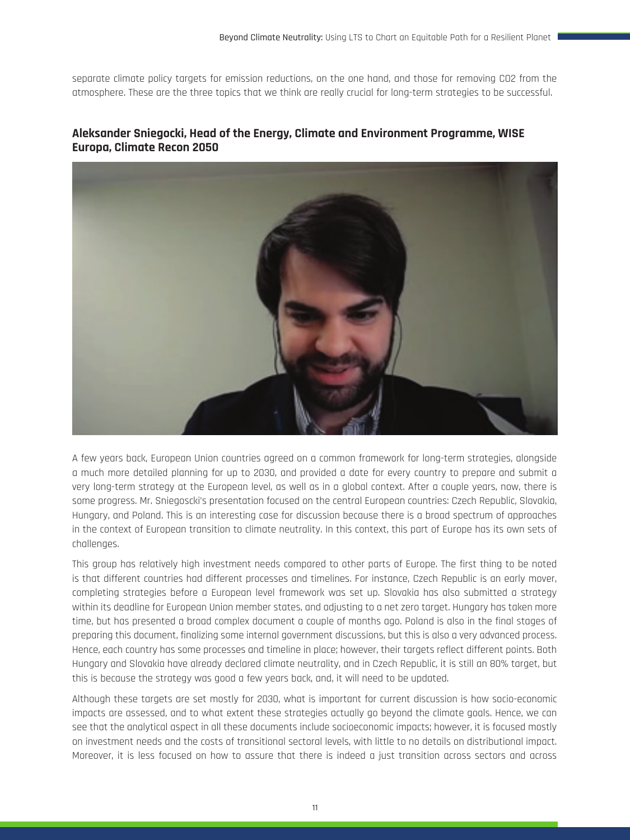separate climate policy targets for emission reductions, on the one hand, and those for removing CO2 from the atmosphere. These are the three topics that we think are really crucial for long-term strategies to be successful.

#### **Aleksander Sniegocki, Head of the Energy, Climate and Environment Programme, WISE Europa, Climate Recon 2050**



A few years back, European Union countries agreed on a common framework for long-term strategies, alongside a much more detailed planning for up to 2030, and provided a date for every country to prepare and submit a very long-term strategy at the European level, as well as in a global context. After a couple years, now, there is some progress. Mr. Sniegoscki's presentation focused on the central European countries: Czech Republic, Slovakia, Hungary, and Poland. This is an interesting case for discussion because there is a broad spectrum of approaches in the context of European transition to climate neutrality. In this context, this part of Europe has its own sets of challenges.

This group has relatively high investment needs compared to other parts of Europe. The first thing to be noted is that different countries had different processes and timelines. For instance, Czech Republic is an early mover, completing strategies before a European level framework was set up. Slovakia has also submitted a strategy within its deadline for European Union member states, and adjusting to a net zero target. Hungary has taken more time, but has presented a broad complex document a couple of months ago. Poland is also in the final stages of preparing this document, finalizing some internal government discussions, but this is also a very advanced process. Hence, each country has some processes and timeline in place; however, their targets reflect different points. Both Hungary and Slovakia have already declared climate neutrality, and in Czech Republic, it is still an 80% target, but this is because the strategy was good a few years back, and, it will need to be updated.

Although these targets are set mostly for 2030, what is important for current discussion is how socio-economic impacts are assessed, and to what extent these strategies actually go beyond the climate goals. Hence, we can see that the analytical aspect in all these documents include socioeconomic impacts; however, it is focused mostly on investment needs and the costs of transitional sectoral levels, with little to no details on distributional impact. Moreover, it is less focused on how to assure that there is indeed a just transition across sectors and across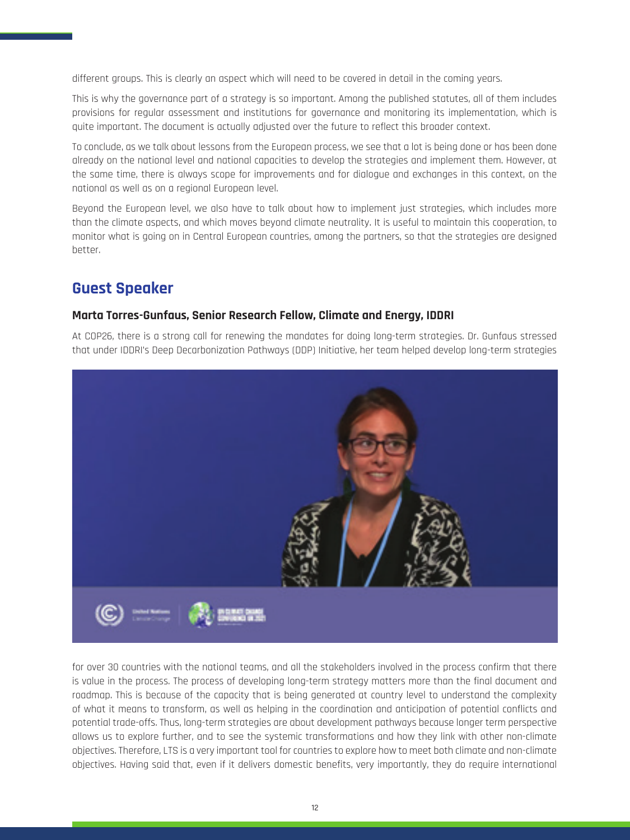different groups. This is clearly an aspect which will need to be covered in detail in the coming years.

This is why the governance part of a strategy is so important. Among the published statutes, all of them includes provisions for regular assessment and institutions for governance and monitoring its implementation, which is quite important. The document is actually adjusted over the future to reflect this broader context.

To conclude, as we talk about lessons from the European process, we see that a lot is being done or has been done already on the national level and national capacities to develop the strategies and implement them. However, at the same time, there is always scope for improvements and for dialogue and exchanges in this context, on the national as well as on a regional European level.

Beyond the European level, we also have to talk about how to implement just strategies, which includes more than the climate aspects, and which moves beyond climate neutrality. It is useful to maintain this cooperation, to monitor what is going on in Central European countries, among the partners, so that the strategies are designed better.

### **Guest Speaker**

#### **Marta Torres-Gunfaus, Senior Research Fellow, Climate and Energy, IDDRI**

At COP26, there is a strong call for renewing the mandates for doing long-term strategies. Dr. Gunfaus stressed that under IDDRI's Deep Decarbonization Pathways (DDP) Initiative, her team helped develop long-term strategies



for over 30 countries with the national teams, and all the stakeholders involved in the process confirm that there is value in the process. The process of developing long-term strategy matters more than the final document and roadmap. This is because of the capacity that is being generated at country level to understand the complexity of what it means to transform, as well as helping in the coordination and anticipation of potential conflicts and potential trade-offs. Thus, long-term strategies are about development pathways because longer term perspective allows us to explore further, and to see the systemic transformations and how they link with other non-climate objectives. Therefore, LTS is a very important tool for countries to explore how to meet both climate and non-climate objectives. Having said that, even if it delivers domestic benefits, very importantly, they do require international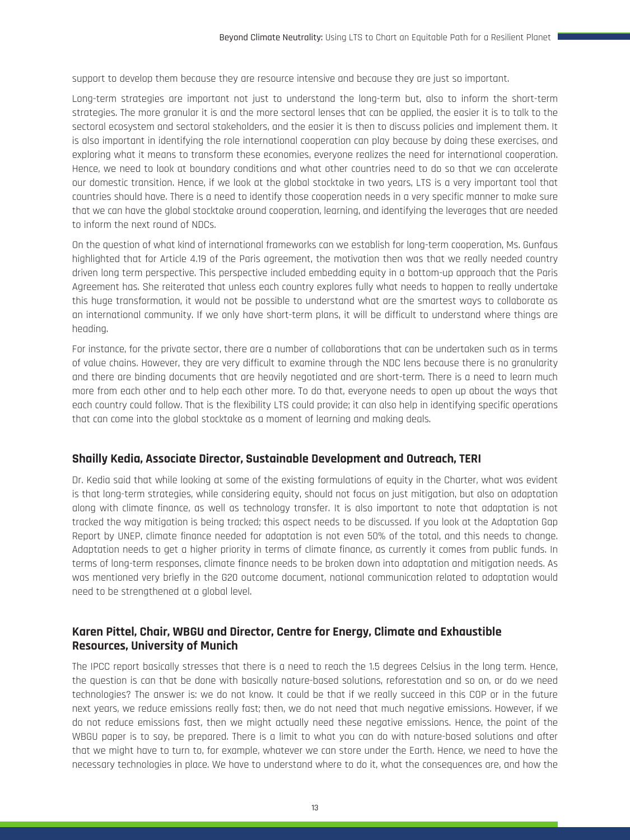support to develop them because they are resource intensive and because they are just so important.

Long-term strategies are important not just to understand the long-term but, also to inform the short-term strategies. The more granular it is and the more sectoral lenses that can be applied, the easier it is to talk to the sectoral ecosystem and sectoral stakeholders, and the easier it is then to discuss policies and implement them. It is also important in identifying the role international cooperation can play because by doing these exercises, and exploring what it means to transform these economies, everyone realizes the need for international cooperation. Hence, we need to look at boundary conditions and what other countries need to do so that we can accelerate our domestic transition. Hence, if we look at the global stocktake in two years, LTS is a very important tool that countries should have. There is a need to identify those cooperation needs in a very specific manner to make sure that we can have the global stocktake around cooperation, learning, and identifying the leverages that are needed to inform the next round of NDCs.

On the question of what kind of international frameworks can we establish for long-term cooperation, Ms. Gunfaus highlighted that for Article 4.19 of the Paris agreement, the motivation then was that we really needed country driven long term perspective. This perspective included embedding equity in a bottom-up approach that the Paris Agreement has. She reiterated that unless each country explores fully what needs to happen to really undertake this huge transformation, it would not be possible to understand what are the smartest ways to collaborate as an international community. If we only have short-term plans, it will be difficult to understand where things are heading.

For instance, for the private sector, there are a number of collaborations that can be undertaken such as in terms of value chains. However, they are very difficult to examine through the NDC lens because there is no granularity and there are binding documents that are heavily negotiated and are short-term. There is a need to learn much more from each other and to help each other more. To do that, everyone needs to open up about the ways that each country could follow. That is the flexibility LTS could provide; it can also help in identifying specific operations that can come into the global stocktake as a moment of learning and making deals.

#### **Shailly Kedia, Associate Director, Sustainable Development and Outreach, TERI**

Dr. Kedia said that while looking at some of the existing formulations of equity in the Charter, what was evident is that long-term strategies, while considering equity, should not focus on just mitigation, but also on adaptation along with climate finance, as well as technology transfer. It is also important to note that adaptation is not tracked the way mitigation is being tracked; this aspect needs to be discussed. If you look at the Adaptation Gap Report by UNEP, climate finance needed for adaptation is not even 50% of the total, and this needs to change. Adaptation needs to get a higher priority in terms of climate finance, as currently it comes from public funds. In terms of long-term responses, climate finance needs to be broken down into adaptation and mitigation needs. As was mentioned very briefly in the G20 outcome document, national communication related to adaptation would need to be strengthened at a global level.

#### **Karen Pittel, Chair, WBGU and Director, Centre for Energy, Climate and Exhaustible Resources, University of Munich**

The IPCC report basically stresses that there is a need to reach the 1.5 degrees Celsius in the long term. Hence, the question is can that be done with basically nature-based solutions, reforestation and so on, or do we need technologies? The answer is: we do not know. It could be that if we really succeed in this COP or in the future next years, we reduce emissions really fast; then, we do not need that much negative emissions. However, if we do not reduce emissions fast, then we might actually need these negative emissions. Hence, the point of the WBGU paper is to say, be prepared. There is a limit to what you can do with nature-based solutions and after that we might have to turn to, for example, whatever we can store under the Earth. Hence, we need to have the necessary technologies in place. We have to understand where to do it, what the consequences are, and how the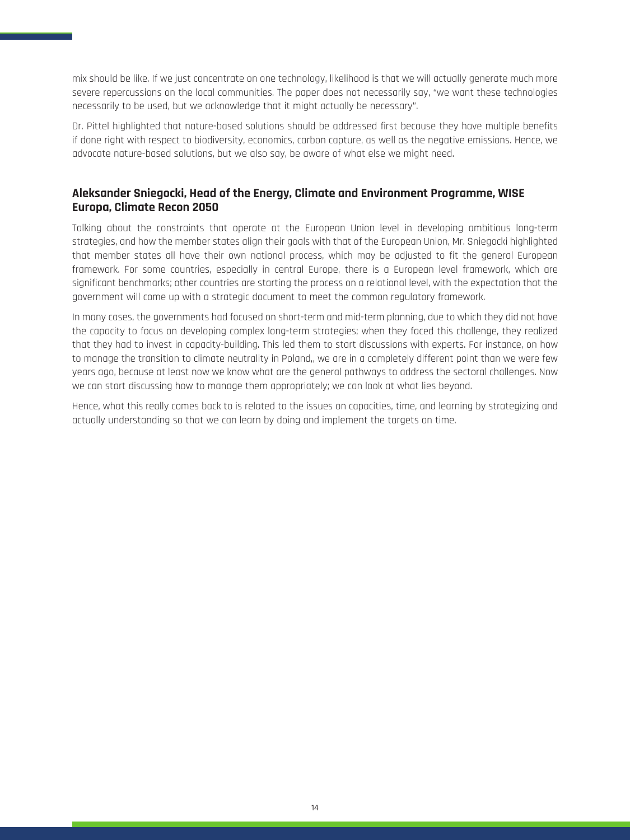mix should be like. If we just concentrate on one technology, likelihood is that we will actually generate much more severe repercussions on the local communities. The paper does not necessarily say, "we want these technologies necessarily to be used, but we acknowledge that it might actually be necessary".

Dr. Pittel highlighted that nature-based solutions should be addressed first because they have multiple benefits if done right with respect to biodiversity, economics, carbon capture, as well as the negative emissions. Hence, we advocate nature-based solutions, but we also say, be aware of what else we might need.

#### **Aleksander Sniegocki, Head of the Energy, Climate and Environment Programme, WISE Europa, Climate Recon 2050**

Talking about the constraints that operate at the European Union level in developing ambitious long-term strategies, and how the member states align their goals with that of the European Union, Mr. Sniegocki highlighted that member states all have their own national process, which may be adjusted to fit the general European framework. For some countries, especially in central Europe, there is a European level framework, which are significant benchmarks; other countries are starting the process on a relational level, with the expectation that the government will come up with a strategic document to meet the common regulatory framework.

In many cases, the governments had focused on short-term and mid-term planning, due to which they did not have the capacity to focus on developing complex long-term strategies; when they faced this challenge, they realized that they had to invest in capacity-building. This led them to start discussions with experts. For instance, on how to manage the transition to climate neutrality in Poland,, we are in a completely different point than we were few years ago, because at least now we know what are the general pathways to address the sectoral challenges. Now we can start discussing how to manage them appropriately; we can look at what lies beyond.

Hence, what this really comes back to is related to the issues on capacities, time, and learning by strategizing and actually understanding so that we can learn by doing and implement the targets on time.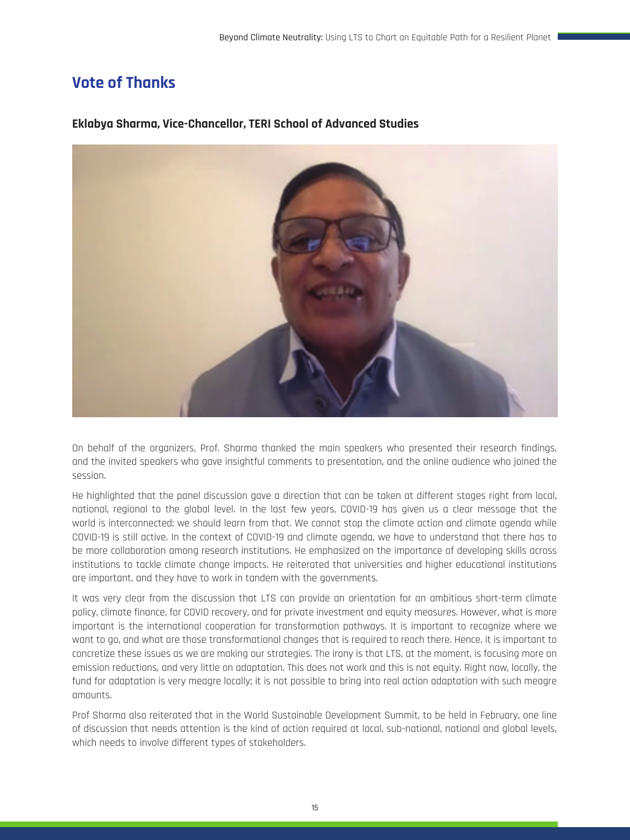## **Vote of Thanks**



#### **Eklabya Sharma, Vice-Chancellor, TERI School of Advanced Studies**

On behalf of the organizers, Prof. Sharma thanked the main speakers who presented their research findings, and the invited speakers who gave insightful comments to presentation, and the online audience who joined the session.

He highlighted that the panel discussion gave a direction that can be taken at different stages right from local, national, regional to the global level. In the last few years, COVID-19 has given us a clear message that the world is interconnected; we should learn from that. We cannot stop the climate action and climate agenda while COVID-19 is still active. In the context of COVID-19 and climate agenda, we have to understand that there has to be more collaboration among research institutions. He emphasized on the importance of developing skills across institutions to tackle climate change impacts. He reiterated that universities and higher educational institutions are important, and they have to work in tandem with the governments.

It was very clear from the discussion that LTS can provide an orientation for an ambitious short-term climate policy, climate finance, for COVID recovery, and for private investment and equity measures. However, what is more important is the international cooperation for transformation pathways. It is important to recognize where we want to go, and what are those transformational changes that is required to reach there. Hence, it is important to concretize these issues as we are making our strategies. The irony is that LTS, at the moment, is focusing more on emission reductions, and very little on adaptation. This does not work and this is not equity. Right now, locally, the fund for adaptation is very meagre locally; it is not possible to bring into real action adaptation with such meagre amounts.

Prof Sharma also reiterated that in the World Sustainable Development Summit, to be held in February, one line of discussion that needs attention is the kind of action required at local, sub-national, national and global levels, which needs to involve different types of stakeholders.